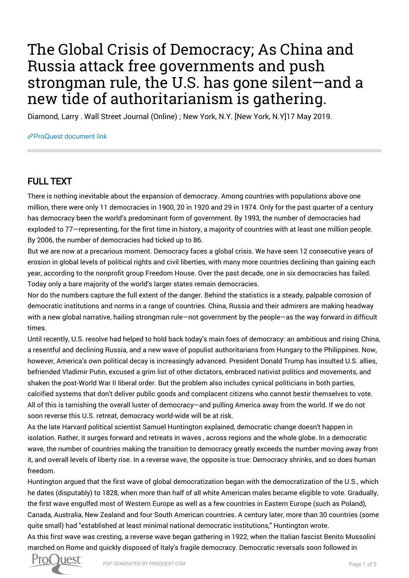# The Global Crisis of Democracy; As China and Russia attack free governments and push strongman rule, the U.S. has gone silent—and a new tide of authoritarianism is gathering.

Diamond, Larry . Wall Street Journal (Online) ; New York, N.Y. [New York, N.Y]17 May 2019.

### [ProQuest document link](https://search.proquest.com/docview/2226478649?accountid=14784)

## FULL TEXT

There is nothing inevitable about the expansion of democracy. Among countries with populations above one million, there were only 11 democracies in 1900, 20 in 1920 and 29 in 1974. Only for the past quarter of a century has democracy been the world's predominant form of government. By 1993, the number of democracies had exploded to 77—representing, for the first time in history, a majority of countries with at least one million people. By 2006, the number of democracies had ticked up to 86.

But we are now at a precarious moment. Democracy faces a global crisis. We have seen 12 consecutive years of erosion in global levels of political rights and civil liberties, with many more countries declining than gaining each year, according to the nonprofit group Freedom House. Over the past decade, one in six democracies has failed. Today only a bare majority of the world's larger states remain democracies.

Nor do the numbers capture the full extent of the danger. Behind the statistics is a steady, palpable corrosion of democratic institutions and norms in a range of countries. China, Russia and their admirers are making headway with a new global narrative, hailing strongman rule—not government by the people—as the way forward in difficult times.

Until recently, U.S. resolve had helped to hold back today's main foes of democracy: an ambitious and rising China, a resentful and declining Russia, and a new wave of populist authoritarians from Hungary to the Philippines. Now, however, America's own political decay is increasingly advanced. President Donald Trump has insulted U.S. allies, befriended Vladimir Putin, excused a grim list of other dictators, embraced nativist politics and movements, and shaken the post-World War II liberal order. But the problem also includes cynical politicians in both parties, calcified systems that don't deliver public goods and complacent citizens who cannot bestir themselves to vote. All of this is tarnishing the overall luster of democracy—and pulling America away from the world. If we do not soon reverse this U.S. retreat, democracy world-wide will be at risk.

As the late Harvard political scientist Samuel Huntington explained, democratic change doesn't happen in isolation. Rather, it surges forward and retreats in waves , across regions and the whole globe. In a democratic wave, the number of countries making the transition to democracy greatly exceeds the number moving away from it, and overall levels of liberty rise. In a reverse wave, the opposite is true: Democracy shrinks, and so does human freedom.

Huntington argued that the first wave of global democratization began with the democratization of the U.S., which he dates (disputably) to 1828, when more than half of all white American males became eligible to vote. Gradually, the first wave engulfed most of Western Europe as well as a few countries in Eastern Europe (such as Poland), Canada, Australia, New Zealand and four South American countries. A century later, more than 30 countries (some quite small) had "established at least minimal national democratic institutions," Huntington wrote.

As this first wave was cresting, a reverse wave began gathering in 1922, when the Italian fascist Benito Mussolini marched on Rome and quickly disposed of Italy's fragile democracy. Democratic reversals soon followed in

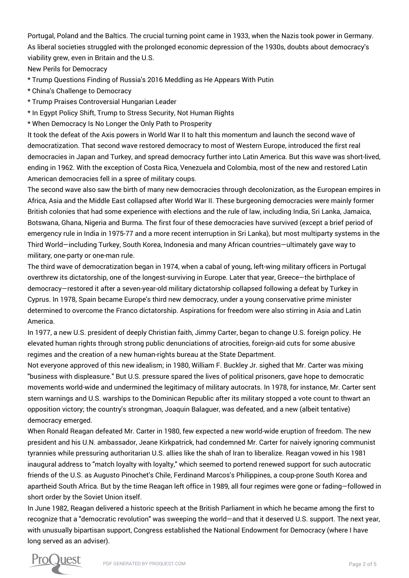Portugal, Poland and the Baltics. The crucial turning point came in 1933, when the Nazis took power in Germany. As liberal societies struggled with the prolonged economic depression of the 1930s, doubts about democracy's viability grew, even in Britain and the U.S.

New Perils for Democracy

\* Trump Questions Finding of Russia's 2016 Meddling as He Appears With Putin

- \* China's Challenge to Democracy
- \* Trump Praises Controversial Hungarian Leader
- \* In Egypt Policy Shift, Trump to Stress Security, Not Human Rights
- \* When Democracy Is No Longer the Only Path to Prosperity

It took the defeat of the Axis powers in World War II to halt this momentum and launch the second wave of democratization. That second wave restored democracy to most of Western Europe, introduced the first real democracies in Japan and Turkey, and spread democracy further into Latin America. But this wave was short-lived, ending in 1962. With the exception of Costa Rica, Venezuela and Colombia, most of the new and restored Latin American democracies fell in a spree of military coups.

The second wave also saw the birth of many new democracies through decolonization, as the European empires in Africa, Asia and the Middle East collapsed after World War II. These burgeoning democracies were mainly former British colonies that had some experience with elections and the rule of law, including India, Sri Lanka, Jamaica, Botswana, Ghana, Nigeria and Burma. The first four of these democracies have survived (except a brief period of emergency rule in India in 1975-77 and a more recent interruption in Sri Lanka), but most multiparty systems in the Third World—including Turkey, South Korea, Indonesia and many African countries—ultimately gave way to military, one-party or one-man rule.

The third wave of democratization began in 1974, when a cabal of young, left-wing military officers in Portugal overthrew its dictatorship, one of the longest-surviving in Europe. Later that year, Greece—the birthplace of democracy—restored it after a seven-year-old military dictatorship collapsed following a defeat by Turkey in Cyprus. In 1978, Spain became Europe's third new democracy, under a young conservative prime minister determined to overcome the Franco dictatorship. Aspirations for freedom were also stirring in Asia and Latin America.

In 1977, a new U.S. president of deeply Christian faith, Jimmy Carter, began to change U.S. foreign policy. He elevated human rights through strong public denunciations of atrocities, foreign-aid cuts for some abusive regimes and the creation of a new human-rights bureau at the State Department.

Not everyone approved of this new idealism; in 1980, William F. Buckley Jr. sighed that Mr. Carter was mixing "business with displeasure." But U.S. pressure spared the lives of political prisoners, gave hope to democratic movements world-wide and undermined the legitimacy of military autocrats. In 1978, for instance, Mr. Carter sent stern warnings and U.S. warships to the Dominican Republic after its military stopped a vote count to thwart an opposition victory; the country's strongman, Joaquin Balaguer, was defeated, and a new (albeit tentative) democracy emerged.

When Ronald Reagan defeated Mr. Carter in 1980, few expected a new world-wide eruption of freedom. The new president and his U.N. ambassador, Jeane Kirkpatrick, had condemned Mr. Carter for naively ignoring communist tyrannies while pressuring authoritarian U.S. allies like the shah of Iran to liberalize. Reagan vowed in his 1981 inaugural address to "match loyalty with loyalty," which seemed to portend renewed support for such autocratic friends of the U.S. as Augusto Pinochet's Chile, Ferdinand Marcos's Philippines, a coup-prone South Korea and apartheid South Africa. But by the time Reagan left office in 1989, all four regimes were gone or fading—followed in short order by the Soviet Union itself.

In June 1982, Reagan delivered a historic speech at the British Parliament in which he became among the first to recognize that a "democratic revolution" was sweeping the world—and that it deserved U.S. support. The next year, with unusually bipartisan support, Congress established the National Endowment for Democracy (where I have long served as an adviser).

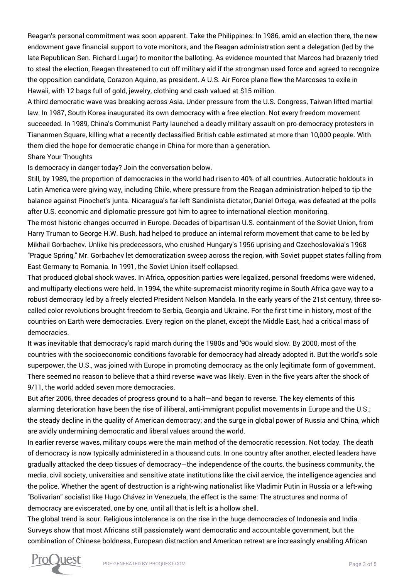Reagan's personal commitment was soon apparent. Take the Philippines: In 1986, amid an election there, the new endowment gave financial support to vote monitors, and the Reagan administration sent a delegation (led by the late Republican Sen. Richard Lugar) to monitor the balloting. As evidence mounted that Marcos had brazenly tried to steal the election, Reagan threatened to cut off military aid if the strongman used force and agreed to recognize the opposition candidate, Corazon Aquino, as president. A U.S. Air Force plane flew the Marcoses to exile in Hawaii, with 12 bags full of gold, jewelry, clothing and cash valued at \$15 million.

A third democratic wave was breaking across Asia. Under pressure from the U.S. Congress, Taiwan lifted martial law. In 1987, South Korea inaugurated its own democracy with a free election. Not every freedom movement succeeded. In 1989, China's Communist Party launched a deadly military assault on pro-democracy protesters in Tiananmen Square, killing what a recently declassified British cable estimated at more than 10,000 people. With them died the hope for democratic change in China for more than a generation.

#### Share Your Thoughts

Is democracy in danger today? Join the conversation below.

Still, by 1989, the proportion of democracies in the world had risen to 40% of all countries. Autocratic holdouts in Latin America were giving way, including Chile, where pressure from the Reagan administration helped to tip the balance against Pinochet's junta. Nicaragua's far-left Sandinista dictator, Daniel Ortega, was defeated at the polls after U.S. economic and diplomatic pressure got him to agree to international election monitoring.

The most historic changes occurred in Europe. Decades of bipartisan U.S. containment of the Soviet Union, from Harry Truman to George H.W. Bush, had helped to produce an internal reform movement that came to be led by Mikhail Gorbachev. Unlike his predecessors, who crushed Hungary's 1956 uprising and Czechoslovakia's 1968 "Prague Spring," Mr. Gorbachev let democratization sweep across the region, with Soviet puppet states falling from East Germany to Romania. In 1991, the Soviet Union itself collapsed.

That produced global shock waves. In Africa, opposition parties were legalized, personal freedoms were widened, and multiparty elections were held. In 1994, the white-supremacist minority regime in South Africa gave way to a robust democracy led by a freely elected President Nelson Mandela. In the early years of the 21st century, three socalled color revolutions brought freedom to Serbia, Georgia and Ukraine. For the first time in history, most of the countries on Earth were democracies. Every region on the planet, except the Middle East, had a critical mass of democracies.

It was inevitable that democracy's rapid march during the 1980s and '90s would slow. By 2000, most of the countries with the socioeconomic conditions favorable for democracy had already adopted it. But the world's sole superpower, the U.S., was joined with Europe in promoting democracy as the only legitimate form of government. There seemed no reason to believe that a third reverse wave was likely. Even in the five years after the shock of 9/11, the world added seven more democracies.

But after 2006, three decades of progress ground to a halt—and began to reverse. The key elements of this alarming deterioration have been the rise of illiberal, anti-immigrant populist movements in Europe and the U.S.; the steady decline in the quality of American democracy; and the surge in global power of Russia and China, which are avidly undermining democratic and liberal values around the world.

In earlier reverse waves, military coups were the main method of the democratic recession. Not today. The death of democracy is now typically administered in a thousand cuts. In one country after another, elected leaders have gradually attacked the deep tissues of democracy—the independence of the courts, the business community, the media, civil society, universities and sensitive state institutions like the civil service, the intelligence agencies and the police. Whether the agent of destruction is a right-wing nationalist like Vladimir Putin in Russia or a left-wing "Bolivarian" socialist like Hugo Chávez in Venezuela, the effect is the same: The structures and norms of democracy are eviscerated, one by one, until all that is left is a hollow shell.

The global trend is sour. Religious intolerance is on the rise in the huge democracies of Indonesia and India. Surveys show that most Africans still passionately want democratic and accountable government, but the combination of Chinese boldness, European distraction and American retreat are increasingly enabling African

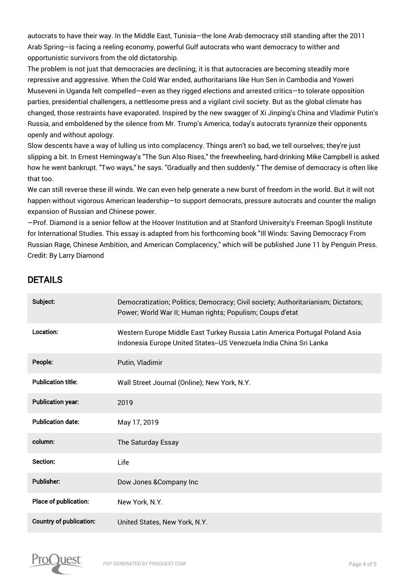autocrats to have their way. In the Middle East, Tunisia—the lone Arab democracy still standing after the 2011 Arab Spring—is facing a reeling economy, powerful Gulf autocrats who want democracy to wither and opportunistic survivors from the old dictatorship.

The problem is not just that democracies are declining; it is that autocracies are becoming steadily more repressive and aggressive. When the Cold War ended, authoritarians like Hun Sen in Cambodia and Yoweri Museveni in Uganda felt compelled—even as they rigged elections and arrested critics—to tolerate opposition parties, presidential challengers, a nettlesome press and a vigilant civil society. But as the global climate has changed, those restraints have evaporated. Inspired by the new swagger of Xi Jinping's China and Vladimir Putin's Russia, and emboldened by the silence from Mr. Trump's America, today's autocrats tyrannize their opponents openly and without apology.

Slow descents have a way of lulling us into complacency. Things aren't so bad, we tell ourselves; they're just slipping a bit. In Ernest Hemingway's "The Sun Also Rises," the freewheeling, hard-drinking Mike Campbell is asked how he went bankrupt. "Two ways," he says. "Gradually and then suddenly." The demise of democracy is often like that too.

We can still reverse these ill winds. We can even help generate a new burst of freedom in the world. But it will not happen without vigorous American leadership—to support democrats, pressure autocrats and counter the malign expansion of Russian and Chinese power.

—Prof. Diamond is a senior fellow at the Hoover Institution and at Stanford University's Freeman Spogli Institute for International Studies. This essay is adapted from his forthcoming book "Ill Winds: Saving Democracy From Russian Rage, Chinese Ambition, and American Complacency," which will be published June 11 by Penguin Press. Credit: By Larry Diamond

## DETAILS

| Subject:                       | Democratization; Politics; Democracy; Civil society; Authoritarianism; Dictators;<br>Power; World War II; Human rights; Populism; Coups d'etat   |
|--------------------------------|--------------------------------------------------------------------------------------------------------------------------------------------------|
| Location:                      | Western Europe Middle East Turkey Russia Latin America Portugal Poland Asia<br>Indonesia Europe United States-US Venezuela India China Sri Lanka |
| People:                        | Putin, Vladimir                                                                                                                                  |
| <b>Publication title:</b>      | Wall Street Journal (Online); New York, N.Y.                                                                                                     |
| <b>Publication year:</b>       | 2019                                                                                                                                             |
| <b>Publication date:</b>       | May 17, 2019                                                                                                                                     |
| column:                        | The Saturday Essay                                                                                                                               |
| Section:                       | Life                                                                                                                                             |
| Publisher:                     | Dow Jones & Company Inc                                                                                                                          |
| Place of publication:          | New York, N.Y.                                                                                                                                   |
| <b>Country of publication:</b> | United States, New York, N.Y.                                                                                                                    |